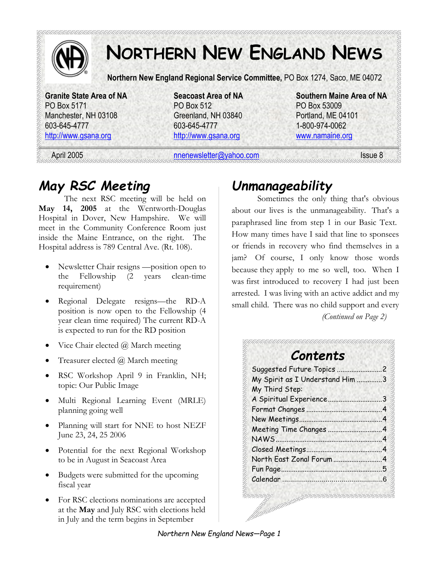

# **NORTHERN NEW ENGLAND NEWS**

**Northern New England Regional Service Committee,** PO Box 1274, Saco, ME 04072

PO Box 5171 PO Box 512 PO Box 53009 Manchester, NH 03108 Greenland, NH 03840 Portland, ME 04101 603-645-4777 603-645-4777 1-800-974-0062 http://www.gsana.org http://www.gsana.org www.namaine.org

**Granite State Area of NA Seacoast Area of NA Southern Maine Area of NA** 

April 2005 **nnenewsletter@yahoo.com** Issue 8

### *May RSC Meeting*

The next RSC meeting will be held on **May 14, 2005** at the Wentworth-Douglas Hospital in Dover, New Hampshire. We will meet in the Community Conference Room just inside the Maine Entrance, on the right. The Hospital address is 789 Central Ave. (Rt. 108).

- Newsletter Chair resigns —position open to the Fellowship (2 years clean-time requirement)
- Regional Delegate resigns—the RD-A position is now open to the Fellowship (4 year clean time required) The current RD-A is expected to run for the RD position
- Vice Chair elected  $\omega$  March meeting
- Treasurer elected  $\omega$  March meeting
- RSC Workshop April 9 in Franklin, NH; topic: Our Public Image
- Multi Regional Learning Event (MRLE) planning going well
- Planning will start for NNE to host NEZF June 23, 24, 25 2006
- Potential for the next Regional Workshop to be in August in Seacoast Area
- Budgets were submitted for the upcoming fiscal year
- For RSC elections nominations are accepted at the **May** and July RSC with elections held in July and the term begins in September

### *Unmanageability*

Sometimes the only thing that's obvious about our lives is the unmanageability. That's a paraphrased line from step 1 in our Basic Text. How many times have I said that line to sponsees or friends in recovery who find themselves in a jam? Of course, I only know those words because they apply to me so well, too. When I was first introduced to recovery I had just been arrested. I was living with an active addict and my small child. There was no child support and every *(Continued on Page 2)* 

# *Contents*

| Suggested Future Topics         |    |
|---------------------------------|----|
| My Spirit as I Understand Him 3 |    |
| My Third Step:                  |    |
| A Spiritual Experience          |    |
| Format Changes                  |    |
|                                 |    |
| Meeting Time Changes            |    |
| <b>NAWS</b>                     |    |
|                                 |    |
|                                 |    |
| Fun Page                        | Б, |
|                                 |    |
|                                 |    |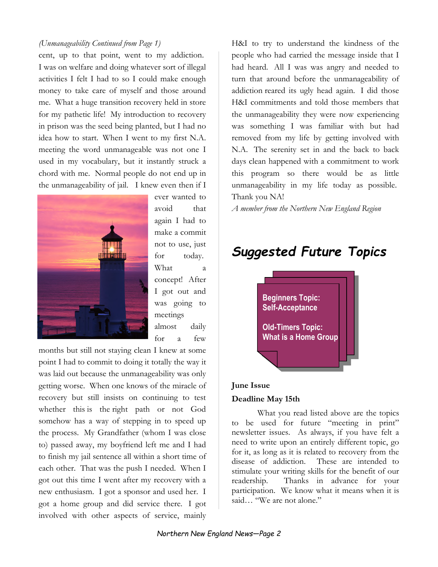#### *(Unmanageability Continued from Page 1)*

cent, up to that point, went to my addiction. I was on welfare and doing whatever sort of illegal activities I felt I had to so I could make enough money to take care of myself and those around me. What a huge transition recovery held in store for my pathetic life! My introduction to recovery in prison was the seed being planted, but I had no idea how to start. When I went to my first N.A. meeting the word unmanageable was not one I used in my vocabulary, but it instantly struck a chord with me. Normal people do not end up in the unmanageability of jail. I knew even then if I



ever wanted to avoid that again I had to make a commit not to use, just for today. What a concept! After I got out and was going to meetings almost daily for a few

months but still not staying clean I knew at some point I had to commit to doing it totally the way it was laid out because the unmanageability was only getting worse. When one knows of the miracle of recovery but still insists on continuing to test whether this is the right path or not God somehow has a way of stepping in to speed up the process. My Grandfather (whom I was close to) passed away, my boyfriend left me and I had to finish my jail sentence all within a short time of each other. That was the push I needed. When I got out this time I went after my recovery with a new enthusiasm. I got a sponsor and used her. I got a home group and did service there. I got involved with other aspects of service, mainly

H&I to try to understand the kindness of the people who had carried the message inside that I had heard. All I was was angry and needed to turn that around before the unmanageability of addiction reared its ugly head again. I did those H&I commitments and told those members that the unmanageability they were now experiencing was something I was familiar with but had removed from my life by getting involved with N.A. The serenity set in and the back to back days clean happened with a commitment to work this program so there would be as little unmanageability in my life today as possible. Thank you NA!

*A member from the Northern New England Region* 

### *Suggested Future Topics*



#### **June Issue**

#### **Deadline May 15th**

What you read listed above are the topics to be used for future "meeting in print" newsletter issues. As always, if you have felt a need to write upon an entirely different topic, go for it, as long as it is related to recovery from the disease of addiction. These are intended to stimulate your writing skills for the benefit of our readership. Thanks in advance for your participation. We know what it means when it is said… "We are not alone."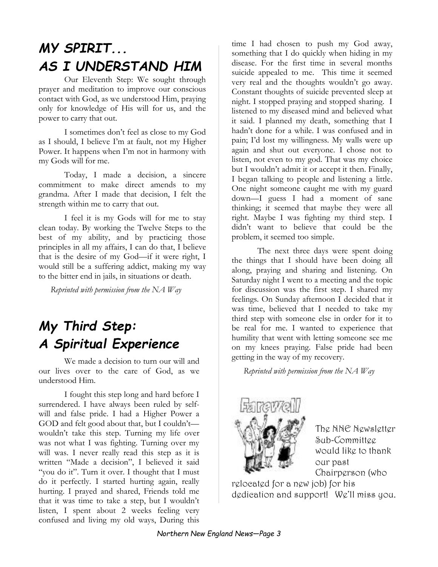# *MY SPIRIT... AS I UNDERSTAND HIM*

Our Eleventh Step: We sought through prayer and meditation to improve our conscious contact with God, as we understood Him, praying only for knowledge of His will for us, and the power to carry that out.

I sometimes don't feel as close to my God as I should, I believe I'm at fault, not my Higher Power. It happens when I'm not in harmony with my Gods will for me.

Today, I made a decision, a sincere commitment to make direct amends to my grandma. After I made that decision, I felt the strength within me to carry that out.

I feel it is my Gods will for me to stay clean today. By working the Twelve Steps to the best of my ability, and by practicing those principles in all my affairs, I can do that, I believe that is the desire of my God—if it were right, I would still be a suffering addict, making my way to the bitter end in jails, in situations or death.

*Reprinted with permission from the NA Way* 

# *My Third Step: A Spiritual Experience*

We made a decision to turn our will and our lives over to the care of God, as we understood Him.

I fought this step long and hard before I surrendered. I have always been ruled by selfwill and false pride. I had a Higher Power a GOD and felt good about that, but I couldn't wouldn't take this step. Turning my life over was not what I was fighting. Turning over my will was. I never really read this step as it is written "Made a decision", I believed it said "you do it". Turn it over. I thought that I must do it perfectly. I started hurting again, really hurting. I prayed and shared, Friends told me that it was time to take a step, but I wouldn't listen, I spent about 2 weeks feeling very confused and living my old ways, During this

time I had chosen to push my God away, something that I do quickly when hiding in my disease. For the first time in several months suicide appealed to me. This time it seemed very real and the thoughts wouldn't go away. Constant thoughts of suicide prevented sleep at night. I stopped praying and stopped sharing. I listened to my diseased mind and believed what it said. I planned my death, something that I hadn't done for a while. I was confused and in pain; I'd lost my willingness. My walls were up again and shut out everyone. I chose not to listen, not even to my god. That was my choice but I wouldn't admit it or accept it then. Finally, I began talking to people and listening a little. One night someone caught me with my guard down—I guess I had a moment of sane thinking; it seemed that maybe they were all right. Maybe I was fighting my third step. I didn't want to believe that could be the problem, it seemed too simple.

The next three days were spent doing the things that I should have been doing all along, praying and sharing and listening. On Saturday night I went to a meeting and the topic for discussion was the first step. I shared my feelings. On Sunday afternoon I decided that it was time, believed that I needed to take my third step with someone else in order for it to be real for me. I wanted to experience that humility that went with letting someone see me on my knees praying. False pride had been getting in the way of my recovery.

*Reprinted with permission from the NA Way* 



The NNE Newsletter Sub-Committee would like to thank our past Chairperson (who

relocated for a new job) for his dedication and support! We'll miss you.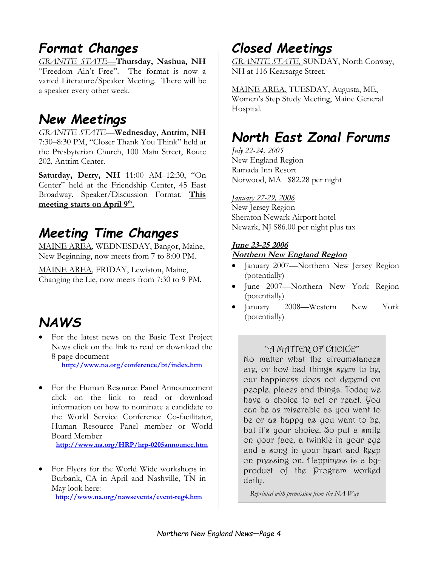# *Format Changes*

*GRANITE STATE—***Thursday, Nashua, NH**  "Freedom Ain't Free". The format is now a varied Literature/Speaker Meeting. There will be a speaker every other week.

#### *New Meetings*

*GRANITE STATE—***Wednesday, Antrim, NH**  7:30–8:30 PM, "Closer Thank You Think" held at the Presbyterian Church, 100 Main Street, Route 202, Antrim Center.

**Saturday, Derry, NH** 11:00 AM–12:30, "On Center" held at the Friendship Center, 45 East Broadway. Speaker/Discussion Format. **This meeting starts on April 9th .** 

### *Meeting Time Changes*

MAINE AREA, WEDNESDAY, Bangor, Maine, New Beginning, now meets from 7 to 8:00 PM.

MAINE AREA, FRIDAY, Lewiston, Maine, Changing the Lie, now meets from 7:30 to 9 PM.

### *NAWS*

• For the latest news on the Basic Text Project News click on the link to read or download the 8 page document

**http://www.na.org/conference/bt/index.htm**

• For the Human Resource Panel Announcement click on the link to read or download information on how to nominate a candidate to the World Service Conference Co-facilitator, Human Resource Panel member or World Board Member

**http://www.na.org/HRP/hrp-0205announce.htm**

• For Flyers for the World Wide workshops in Burbank, CA in April and Nashville, TN in May look here: **http://www.na.org/nawsevents/event-reg4.htm**

*Closed Meetings* 

*GRANITE STATE,* SUNDAY, North Conway, NH at 116 Kearsarge Street.

MAINE AREA, TUESDAY, Augusta, ME, Women's Step Study Meeting, Maine General Hospital.

# *North East Zonal Forums*

*July 22-24, 2005*  New England Region Ramada Inn Resort Norwood, MA \$82.28 per night

#### *January 27-29, 2006*

New Jersey Region Sheraton Newark Airport hotel Newark, NJ \$86.00 per night plus tax

#### **June 23-25 2006 Northern New England Region**

- January 2007—Northern New Jersey Region (potentially)
- June 2007—Northern New York Region (potentially)
- January 2008—Western New York (potentially)

#### "A MATTER OF CHOICE"

No matter what the circumstances are, or how bad things seem to be, our happiness does not depend on people, places and things. Today we have a choice to act or react. You can be as miserable as you want to be or as happy as you want to be, but it's your choice. So put a smile on your face, a twinkle in your eye and a song in your heart and keep on pressing on. Happiness is a byproduct of the Program worked daily.

*Reprinted with permission from the NA Way*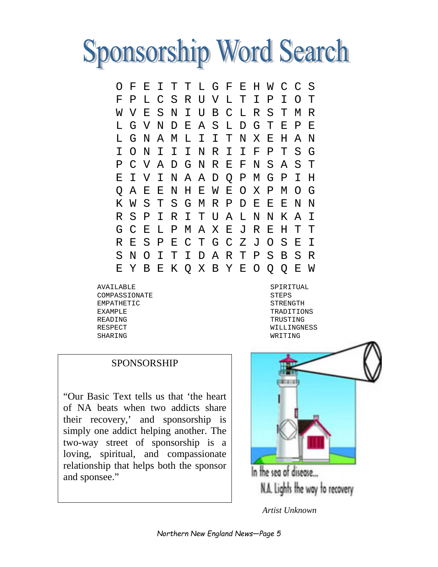

O F E I T T L G F E H W C C S F P L C S R U V L T I P I O T W V E S N I U B C L R S T M R L G V N D E A S L D G T E P E L G N A M L I I T N X E H A N I O N I I I N R I I F P T S G P C V A D G N R E F N S A S T E I V I N A A D Q P M G P I H Q A E E N H E W E O X P M O G K W S T S G M R P D E E E N N R S P I R I T U A L N N K A I G C E L P M A X E J R E H T T R E S P E C T G C Z J O S E I S N O I T I D A R T P S B S R E Y B E K Q X B Y E O Q Q E W

AVAILABLE COMPASSIONATE EMPATHETIC EXAMPLE READING RESPECT SHARING

SPIRITUAL STEPS STRENGTH TRADITIONS TRUSTING WILLINGNESS WRITING

#### SPONSORSHIP

"Our Basic Text tells us that 'the heart of NA beats when two addicts share their recovery,' and sponsorship is simply one addict helping another. The two-way street of sponsorship is a loving, spiritual, and compassionate relationship that helps both the sponsor and sponsee."



*Artist Unknown*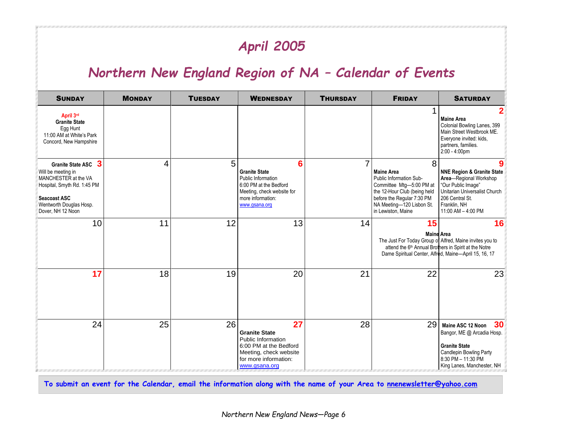# *April 2005*

### *Northern New England Region of NA – Calendar of Events*

| <b>SUNDAY</b>                                                                                                                                                           | <b>MONDAY</b> | <b>TUESDAY</b> | <b>WEDNESDAY</b>                                                                                                                               | <b>THURSDAY</b> | <b>FRIDAY</b>                                                                                                                                                                                           | <b>SATURDAY</b>                                                                                                                                                                        |
|-------------------------------------------------------------------------------------------------------------------------------------------------------------------------|---------------|----------------|------------------------------------------------------------------------------------------------------------------------------------------------|-----------------|---------------------------------------------------------------------------------------------------------------------------------------------------------------------------------------------------------|----------------------------------------------------------------------------------------------------------------------------------------------------------------------------------------|
| April 3rd<br><b>Granite State</b><br>Egg Hunt<br>11:00 AM at White's Park<br>Concord, New Hampshire                                                                     |               |                |                                                                                                                                                |                 |                                                                                                                                                                                                         | <b>Maine Area</b><br>Colonial Bowling Lanes, 399<br>Main Street Westbrook ME.<br>Everyone invited: kids,<br>partners, families.<br>$2:00 - 4:00 \text{pm}$                             |
| Granite State ASC 3<br>Will be meeting in<br>MANCHESTER at the VA<br>Hospital, Smyth Rd. 1:45 PM<br><b>Seacoast ASC</b><br>Wentworth Douglas Hosp.<br>Dover, NH 12 Noon | 4             | 5              | 6<br><b>Granite State</b><br>Public Information<br>6:00 PM at the Bedford<br>Meeting, check website for<br>more information:<br>www.gsana.org  | $\overline{7}$  | 8<br><b>Maine Area</b><br>Public Information Sub-<br>Committee Mtg-5:00 PM at<br>the 12-Hour Club (being held<br>before the Regular 7:30 PM<br>NA Meeting-120 Lisbon St.<br>in Lewiston, Maine          | 9<br><b>NNE Region &amp; Granite State</b><br>Area-Regional Workshop<br>"Our Public Image"<br>Unitarian Universalist Church<br>206 Central St.<br>Franklin. NH<br>11:00 AM $-$ 4:00 PM |
| 10                                                                                                                                                                      | 11            | 12             | 13                                                                                                                                             | 14              | 15<br><b>Maine Area</b><br>The Just For Today Group of Alfred, Maine invites you to<br>attend the 6th Annual Brothers in Spirit at the Notre<br>Dame Spiritual Center, Alfred, Maine---April 15, 16, 17 | 16                                                                                                                                                                                     |
| 17                                                                                                                                                                      | 18            | 19             | 20                                                                                                                                             | 21              | 22                                                                                                                                                                                                      | 23                                                                                                                                                                                     |
| 24                                                                                                                                                                      | 25            | 26             | 27<br><b>Granite State</b><br>Public Information<br>6:00 PM at the Bedford<br>Meeting, check website<br>for more information:<br>www.gsana.org | 28              | 29                                                                                                                                                                                                      | 30<br>Maine ASC 12 Noon<br>Bangor, ME @ Arcadia Hosp.<br><b>Granite State</b><br>Candlepin Bowling Party<br>8:30 PM - 11:30 PM<br>King Lanes, Manchester, NH                           |

**To submit an event for the Calendar, email the information along with the name of your Area to nnenewsletter@yahoo.com**